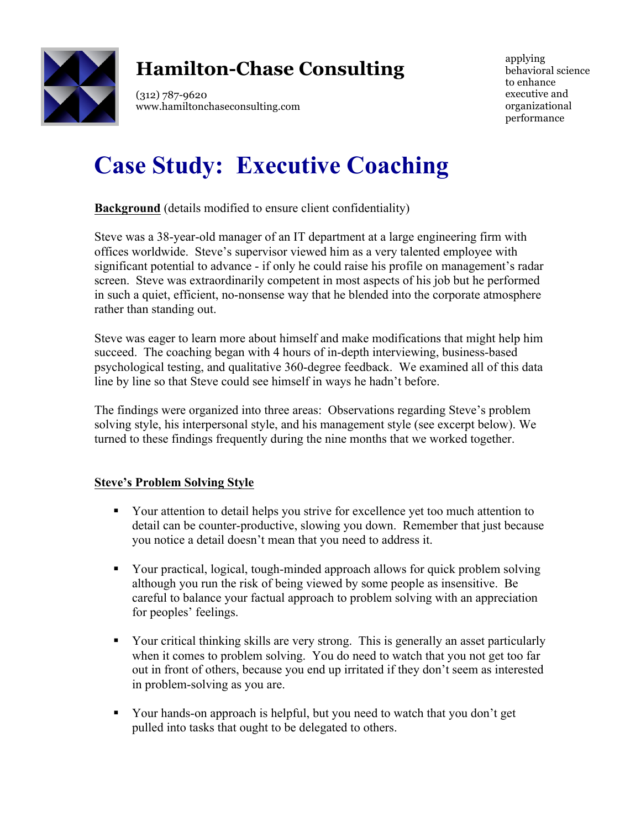

# **Hamilton-Chase Consulting**

(312) 787-9620 www.hamiltonchaseconsulting.com

applying behavioral science to enhance executive and organizational performance

# **Case Study: Executive Coaching**

**Background** (details modified to ensure client confidentiality)

Steve was a 38-year-old manager of an IT department at a large engineering firm with offices worldwide. Steve's supervisor viewed him as a very talented employee with significant potential to advance - if only he could raise his profile on management's radar screen. Steve was extraordinarily competent in most aspects of his job but he performed in such a quiet, efficient, no-nonsense way that he blended into the corporate atmosphere rather than standing out.

Steve was eager to learn more about himself and make modifications that might help him succeed. The coaching began with 4 hours of in-depth interviewing, business-based psychological testing, and qualitative 360-degree feedback. We examined all of this data line by line so that Steve could see himself in ways he hadn't before.

The findings were organized into three areas: Observations regarding Steve's problem solving style, his interpersonal style, and his management style (see excerpt below). We turned to these findings frequently during the nine months that we worked together.

# **Steve's Problem Solving Style**

- Your attention to detail helps you strive for excellence yet too much attention to detail can be counter-productive, slowing you down. Remember that just because you notice a detail doesn't mean that you need to address it.
- § Your practical, logical, tough-minded approach allows for quick problem solving although you run the risk of being viewed by some people as insensitive. Be careful to balance your factual approach to problem solving with an appreciation for peoples' feelings.
- § Your critical thinking skills are very strong. This is generally an asset particularly when it comes to problem solving. You do need to watch that you not get too far out in front of others, because you end up irritated if they don't seem as interested in problem-solving as you are.
- § Your hands-on approach is helpful, but you need to watch that you don't get pulled into tasks that ought to be delegated to others.